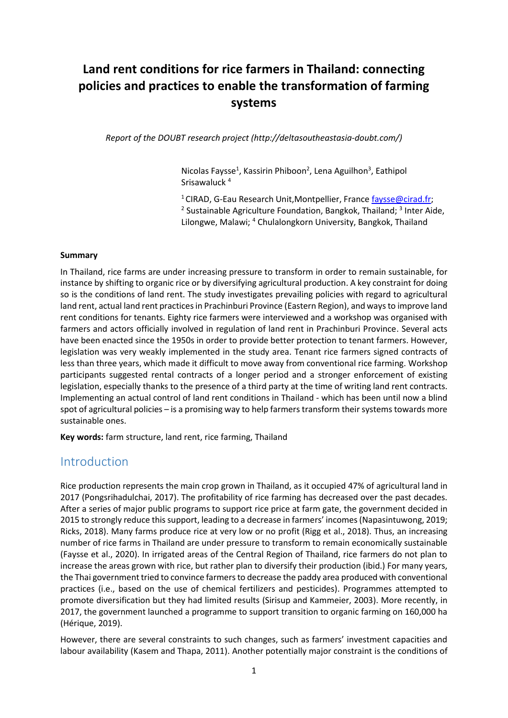# **Land rent conditions for rice farmers in Thailand: connecting policies and practices to enable the transformation of farming systems**

*Report of the DOUBT research project (http://deltasoutheastasia-doubt.com/)*

Nicolas Faysse<sup>1</sup>, Kassirin Phiboon<sup>2</sup>, Lena Aguilhon<sup>3</sup>, Eathipol Srisawaluck <sup>4</sup>

<sup>1</sup> CIRAD, G-Eau Research Unit, Montpellier, France [faysse@cirad.fr;](mailto:faysse@cirad.fr) <sup>2</sup> Sustainable Agriculture Foundation, Bangkok, Thailand; <sup>3</sup> Inter Aide, Lilongwe, Malawi; <sup>4</sup> Chulalongkorn University, Bangkok, Thailand

#### **Summary**

In Thailand, rice farms are under increasing pressure to transform in order to remain sustainable, for instance by shifting to organic rice or by diversifying agricultural production. A key constraint for doing so is the conditions of land rent. The study investigates prevailing policies with regard to agricultural land rent, actual land rent practices in Prachinburi Province (Eastern Region), and ways to improve land rent conditions for tenants. Eighty rice farmers were interviewed and a workshop was organised with farmers and actors officially involved in regulation of land rent in Prachinburi Province. Several acts have been enacted since the 1950s in order to provide better protection to tenant farmers. However, legislation was very weakly implemented in the study area. Tenant rice farmers signed contracts of less than three years, which made it difficult to move away from conventional rice farming. Workshop participants suggested rental contracts of a longer period and a stronger enforcement of existing legislation, especially thanks to the presence of a third party at the time of writing land rent contracts. Implementing an actual control of land rent conditions in Thailand - which has been until now a blind spot of agricultural policies – is a promising way to help farmers transform their systems towards more sustainable ones.

**Key words:** farm structure, land rent, rice farming, Thailand

### Introduction

Rice production represents the main crop grown in Thailand, as it occupied 47% of agricultural land in 2017 (Pongsrihadulchai, 2017). The profitability of rice farming has decreased over the past decades. After a series of major public programs to support rice price at farm gate, the government decided in 2015 to strongly reduce this support, leading to a decrease in farmers' incomes (Napasintuwong, 2019; Ricks, 2018). Many farms produce rice at very low or no profit (Rigg et al., 2018). Thus, an increasing number of rice farms in Thailand are under pressure to transform to remain economically sustainable (Faysse et al., 2020). In irrigated areas of the Central Region of Thailand, rice farmers do not plan to increase the areas grown with rice, but rather plan to diversify their production (ibid.) For many years, the Thai government tried to convince farmers to decrease the paddy area produced with conventional practices (i.e., based on the use of chemical fertilizers and pesticides). Programmes attempted to promote diversification but they had limited results (Sirisup and Kammeier, 2003). More recently, in 2017, the government launched a programme to support transition to organic farming on 160,000 ha (Hérique, 2019).

However, there are several constraints to such changes, such as farmers' investment capacities and labour availability (Kasem and Thapa, 2011). Another potentially major constraint is the conditions of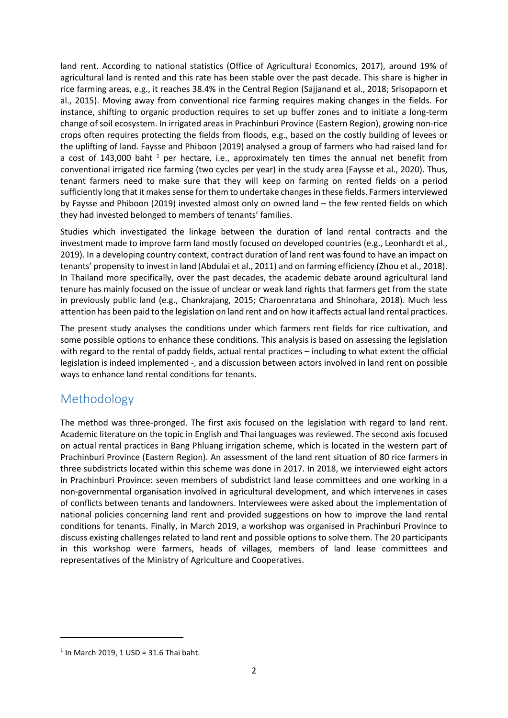land rent. According to national statistics (Office of Agricultural Economics, 2017), around 19% of agricultural land is rented and this rate has been stable over the past decade. This share is higher in rice farming areas, e.g., it reaches 38.4% in the Central Region (Sajjanand et al., 2018; Srisopaporn et al., 2015). Moving away from conventional rice farming requires making changes in the fields. For instance, shifting to organic production requires to set up buffer zones and to initiate a long-term change of soil ecosystem. In irrigated areas in Prachinburi Province (Eastern Region), growing non-rice crops often requires protecting the fields from floods, e.g., based on the costly building of levees or the uplifting of land. Faysse and Phiboon (2019) analysed a group of farmers who had raised land for a cost of 143,000 baht  $<sup>1</sup>$  per hectare, i.e., approximately ten times the annual net benefit from</sup> conventional irrigated rice farming (two cycles per year) in the study area (Faysse et al., 2020). Thus, tenant farmers need to make sure that they will keep on farming on rented fields on a period sufficiently long that it makes sense for them to undertake changes in these fields. Farmers interviewed by Faysse and Phiboon (2019) invested almost only on owned land – the few rented fields on which they had invested belonged to members of tenants' families.

Studies which investigated the linkage between the duration of land rental contracts and the investment made to improve farm land mostly focused on developed countries (e.g., Leonhardt et al., 2019). In a developing country context, contract duration of land rent was found to have an impact on tenants' propensity to invest in land (Abdulai et al., 2011) and on farming efficiency (Zhou et al., 2018). In Thailand more specifically, over the past decades, the academic debate around agricultural land tenure has mainly focused on the issue of unclear or weak land rights that farmers get from the state in previously public land (e.g., Chankrajang, 2015; Charoenratana and Shinohara, 2018). Much less attention has been paid to the legislation on land rent and on how it affects actual land rental practices.

The present study analyses the conditions under which farmers rent fields for rice cultivation, and some possible options to enhance these conditions. This analysis is based on assessing the legislation with regard to the rental of paddy fields, actual rental practices – including to what extent the official legislation is indeed implemented -, and a discussion between actors involved in land rent on possible ways to enhance land rental conditions for tenants.

## Methodology

The method was three-pronged. The first axis focused on the legislation with regard to land rent. Academic literature on the topic in English and Thai languages was reviewed. The second axis focused on actual rental practices in Bang Phluang irrigation scheme, which is located in the western part of Prachinburi Province (Eastern Region). An assessment of the land rent situation of 80 rice farmers in three subdistricts located within this scheme was done in 2017. In 2018, we interviewed eight actors in Prachinburi Province: seven members of subdistrict land lease committees and one working in a non-governmental organisation involved in agricultural development, and which intervenes in cases of conflicts between tenants and landowners. Interviewees were asked about the implementation of national policies concerning land rent and provided suggestions on how to improve the land rental conditions for tenants. Finally, in March 2019, a workshop was organised in Prachinburi Province to discuss existing challenges related to land rent and possible options to solve them. The 20 participants in this workshop were farmers, heads of villages, members of land lease committees and representatives of the Ministry of Agriculture and Cooperatives.

1

 $1$  In March 2019, 1 USD = 31.6 Thai baht.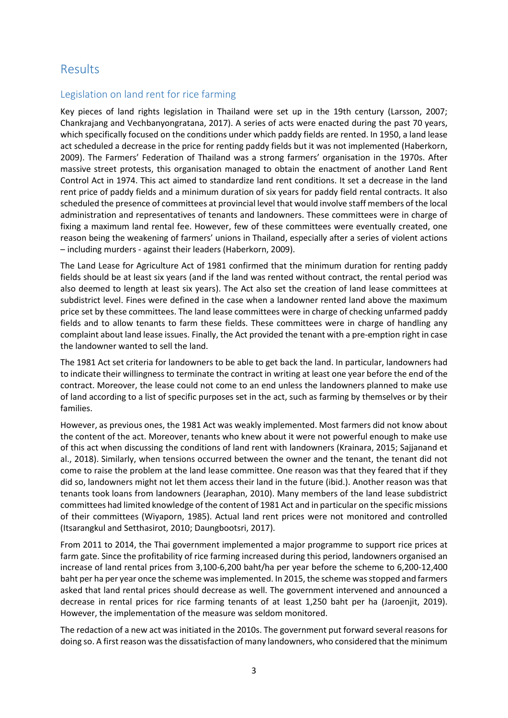## Results

#### Legislation on land rent for rice farming

Key pieces of land rights legislation in Thailand were set up in the 19th century (Larsson, 2007; Chankrajang and Vechbanyongratana, 2017). A series of acts were enacted during the past 70 years, which specifically focused on the conditions under which paddy fields are rented. In 1950, a land lease act scheduled a decrease in the price for renting paddy fields but it was not implemented (Haberkorn, 2009). The Farmers' Federation of Thailand was a strong farmers' organisation in the 1970s. After massive street protests, this organisation managed to obtain the enactment of another Land Rent Control Act in 1974. This act aimed to standardize land rent conditions. It set a decrease in the land rent price of paddy fields and a minimum duration of six years for paddy field rental contracts. It also scheduled the presence of committees at provincial level that would involve staff members of the local administration and representatives of tenants and landowners. These committees were in charge of fixing a maximum land rental fee. However, few of these committees were eventually created, one reason being the weakening of farmers' unions in Thailand, especially after a series of violent actions – including murders - against their leaders (Haberkorn, 2009).

The Land Lease for Agriculture Act of 1981 confirmed that the minimum duration for renting paddy fields should be at least six years (and if the land was rented without contract, the rental period was also deemed to length at least six years). The Act also set the creation of land lease committees at subdistrict level. Fines were defined in the case when a landowner rented land above the maximum price set by these committees. The land lease committees were in charge of checking unfarmed paddy fields and to allow tenants to farm these fields. These committees were in charge of handling any complaint about land lease issues. Finally, the Act provided the tenant with a pre-emption right in case the landowner wanted to sell the land.

The 1981 Act set criteria for landowners to be able to get back the land. In particular, landowners had to indicate their willingness to terminate the contract in writing at least one year before the end of the contract. Moreover, the lease could not come to an end unless the landowners planned to make use of land according to a list of specific purposes set in the act, such as farming by themselves or by their families.

However, as previous ones, the 1981 Act was weakly implemented. Most farmers did not know about the content of the act. Moreover, tenants who knew about it were not powerful enough to make use of this act when discussing the conditions of land rent with landowners (Krainara, 2015; Sajjanand et al., 2018). Similarly, when tensions occurred between the owner and the tenant, the tenant did not come to raise the problem at the land lease committee. One reason was that they feared that if they did so, landowners might not let them access their land in the future (ibid.). Another reason was that tenants took loans from landowners (Jearaphan, 2010). Many members of the land lease subdistrict committees had limited knowledge of the content of 1981 Act and in particular on the specific missions of their committees (Wiyaporn, 1985). Actual land rent prices were not monitored and controlled (Itsarangkul and Setthasirot, 2010; Daungbootsri, 2017).

From 2011 to 2014, the Thai government implemented a major programme to support rice prices at farm gate. Since the profitability of rice farming increased during this period, landowners organised an increase of land rental prices from 3,100-6,200 baht/ha per year before the scheme to 6,200-12,400 baht per ha per year once the scheme was implemented. In 2015, the scheme was stopped and farmers asked that land rental prices should decrease as well. The government intervened and announced a decrease in rental prices for rice farming tenants of at least 1,250 baht per ha (Jaroenjit, 2019). However, the implementation of the measure was seldom monitored.

The redaction of a new act was initiated in the 2010s. The government put forward several reasons for doing so. A first reason was the dissatisfaction of many landowners, who considered that the minimum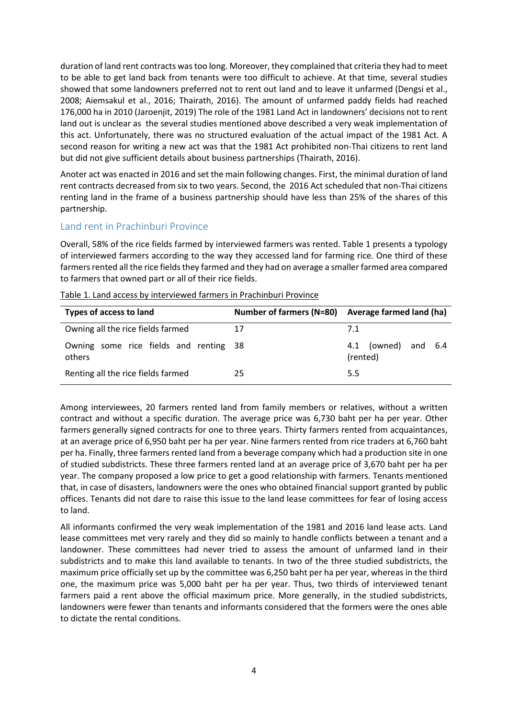duration of land rent contracts was too long. Moreover, they complained that criteria they had to meet to be able to get land back from tenants were too difficult to achieve. At that time, several studies showed that some landowners preferred not to rent out land and to leave it unfarmed (Dengsi et al., 2008; Aiemsakul et al., 2016; Thairath, 2016). The amount of unfarmed paddy fields had reached 176,000 ha in 2010 (Jaroenjit, 2019) The role of the 1981 Land Act in landowners' decisions not to rent land out is unclear as the several studies mentioned above described a very weak implementation of this act. Unfortunately, there was no structured evaluation of the actual impact of the 1981 Act. A second reason for writing a new act was that the 1981 Act prohibited non-Thai citizens to rent land but did not give sufficient details about business partnerships (Thairath, 2016).

Anoter act was enacted in 2016 and set the main following changes. First, the minimal duration of land rent contracts decreased from six to two years. Second, the 2016 Act scheduled that non-Thai citizens renting land in the frame of a business partnership should have less than 25% of the shares of this partnership.

#### Land rent in Prachinburi Province

Overall, 58% of the rice fields farmed by interviewed farmers was rented. Table 1 presents a typology of interviewed farmers according to the way they accessed land for farming rice. One third of these farmers rented all the rice fields they farmed and they had on average a smaller farmed area compared to farmers that owned part or all of their rice fields.

| <b>Types of access to land</b>                   | Number of farmers (N=80) Average farmed land (ha) |                                    |
|--------------------------------------------------|---------------------------------------------------|------------------------------------|
| Owning all the rice fields farmed                | 17                                                | 7.1                                |
| Owning some rice fields and renting 38<br>others |                                                   | (owned) and 6.4<br>4.1<br>(rented) |
| Renting all the rice fields farmed               | 25                                                | 5.5                                |

Table 1. Land access by interviewed farmers in Prachinburi Province

Among interviewees, 20 farmers rented land from family members or relatives, without a written contract and without a specific duration. The average price was 6,730 baht per ha per year. Other farmers generally signed contracts for one to three years. Thirty farmers rented from acquaintances, at an average price of 6,950 baht per ha per year. Nine farmers rented from rice traders at 6,760 baht per ha. Finally, three farmers rented land from a beverage company which had a production site in one of studied subdistricts. These three farmers rented land at an average price of 3,670 baht per ha per year. The company proposed a low price to get a good relationship with farmers. Tenants mentioned that, in case of disasters, landowners were the ones who obtained financial support granted by public offices. Tenants did not dare to raise this issue to the land lease committees for fear of losing access to land.

All informants confirmed the very weak implementation of the 1981 and 2016 land lease acts. Land lease committees met very rarely and they did so mainly to handle conflicts between a tenant and a landowner. These committees had never tried to assess the amount of unfarmed land in their subdistricts and to make this land available to tenants. In two of the three studied subdistricts, the maximum price officially set up by the committee was 6,250 baht per ha per year, whereas in the third one, the maximum price was 5,000 baht per ha per year. Thus, two thirds of interviewed tenant farmers paid a rent above the official maximum price. More generally, in the studied subdistricts, landowners were fewer than tenants and informants considered that the formers were the ones able to dictate the rental conditions.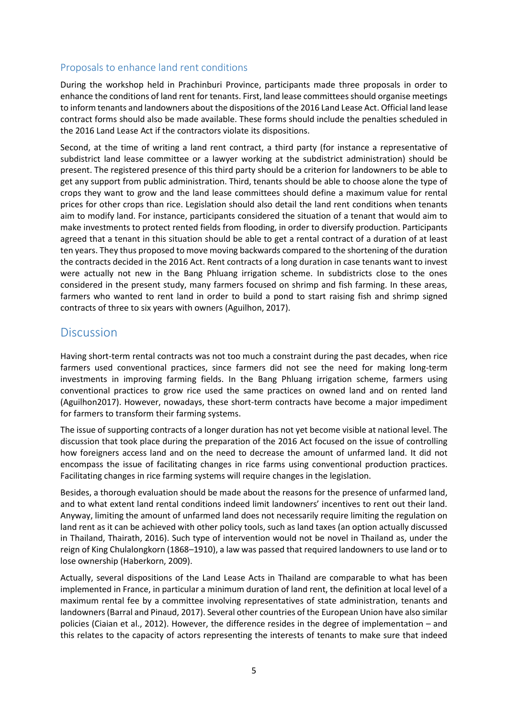#### Proposals to enhance land rent conditions

During the workshop held in Prachinburi Province, participants made three proposals in order to enhance the conditions of land rent for tenants. First, land lease committees should organise meetings to inform tenants and landowners about the dispositions of the 2016 Land Lease Act. Official land lease contract forms should also be made available. These forms should include the penalties scheduled in the 2016 Land Lease Act if the contractors violate its dispositions.

Second, at the time of writing a land rent contract, a third party (for instance a representative of subdistrict land lease committee or a lawyer working at the subdistrict administration) should be present. The registered presence of this third party should be a criterion for landowners to be able to get any support from public administration. Third, tenants should be able to choose alone the type of crops they want to grow and the land lease committees should define a maximum value for rental prices for other crops than rice. Legislation should also detail the land rent conditions when tenants aim to modify land. For instance, participants considered the situation of a tenant that would aim to make investments to protect rented fields from flooding, in order to diversify production. Participants agreed that a tenant in this situation should be able to get a rental contract of a duration of at least ten years. They thus proposed to move moving backwards compared to the shortening of the duration the contracts decided in the 2016 Act. Rent contracts of a long duration in case tenants want to invest were actually not new in the Bang Phluang irrigation scheme. In subdistricts close to the ones considered in the present study, many farmers focused on shrimp and fish farming. In these areas, farmers who wanted to rent land in order to build a pond to start raising fish and shrimp signed contracts of three to six years with owners (Aguilhon, 2017).

### **Discussion**

Having short-term rental contracts was not too much a constraint during the past decades, when rice farmers used conventional practices, since farmers did not see the need for making long-term investments in improving farming fields. In the Bang Phluang irrigation scheme, farmers using conventional practices to grow rice used the same practices on owned land and on rented land (Aguilhon2017). However, nowadays, these short-term contracts have become a major impediment for farmers to transform their farming systems.

The issue of supporting contracts of a longer duration has not yet become visible at national level. The discussion that took place during the preparation of the 2016 Act focused on the issue of controlling how foreigners access land and on the need to decrease the amount of unfarmed land. It did not encompass the issue of facilitating changes in rice farms using conventional production practices. Facilitating changes in rice farming systems will require changes in the legislation.

Besides, a thorough evaluation should be made about the reasons for the presence of unfarmed land, and to what extent land rental conditions indeed limit landowners' incentives to rent out their land. Anyway, limiting the amount of unfarmed land does not necessarily require limiting the regulation on land rent as it can be achieved with other policy tools, such as land taxes (an option actually discussed in Thailand, Thairath, 2016). Such type of intervention would not be novel in Thailand as, under the reign of King Chulalongkorn (1868–1910), a law was passed that required landowners to use land or to lose ownership (Haberkorn, 2009).

Actually, several dispositions of the Land Lease Acts in Thailand are comparable to what has been implemented in France, in particular a minimum duration of land rent, the definition at local level of a maximum rental fee by a committee involving representatives of state administration, tenants and landowners(Barral and Pinaud, 2017). Several other countries of the European Union have also similar policies (Ciaian et al., 2012). However, the difference resides in the degree of implementation – and this relates to the capacity of actors representing the interests of tenants to make sure that indeed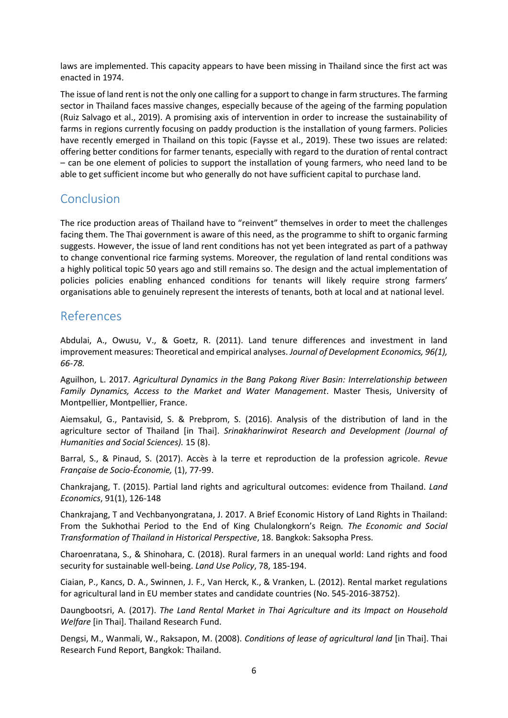laws are implemented. This capacity appears to have been missing in Thailand since the first act was enacted in 1974.

The issue of land rent is not the only one calling for a support to change in farm structures. The farming sector in Thailand faces massive changes, especially because of the ageing of the farming population (Ruiz Salvago et al., 2019). A promising axis of intervention in order to increase the sustainability of farms in regions currently focusing on paddy production is the installation of young farmers. Policies have recently emerged in Thailand on this topic (Faysse et al., 2019). These two issues are related: offering better conditions for farmer tenants, especially with regard to the duration of rental contract – can be one element of policies to support the installation of young farmers, who need land to be able to get sufficient income but who generally do not have sufficient capital to purchase land.

## Conclusion

The rice production areas of Thailand have to "reinvent" themselves in order to meet the challenges facing them. The Thai government is aware of this need, as the programme to shift to organic farming suggests. However, the issue of land rent conditions has not yet been integrated as part of a pathway to change conventional rice farming systems. Moreover, the regulation of land rental conditions was a highly political topic 50 years ago and still remains so. The design and the actual implementation of policies policies enabling enhanced conditions for tenants will likely require strong farmers' organisations able to genuinely represent the interests of tenants, both at local and at national level.

### References

Abdulai, A., Owusu, V., & Goetz, R. (2011). Land tenure differences and investment in land improvement measures: Theoretical and empirical analyses. *Journal of Development Economics, 96(1), 66-78.*

Aguilhon, L. 2017. *Agricultural Dynamics in the Bang Pakong River Basin: Interrelationship between Family Dynamics, Access to the Market and Water Management*. Master Thesis, University of Montpellier, Montpellier, France.

Aiemsakul, G., Pantavisid, S. & Prebprom, S. (2016). Analysis of the distribution of land in the agriculture sector of Thailand [in Thai]. *Srinakharinwirot Research and Development (Journal of Humanities and Social Sciences).* 15 (8).

Barral, S., & Pinaud, S. (2017). Accès à la terre et reproduction de la profession agricole*. Revue Française de Socio-Économie,* (1), 77-99.

Chankrajang, T. (2015). Partial land rights and agricultural outcomes: evidence from Thailand. *Land Economics*, 91(1), 126-148

Chankrajang, T and Vechbanyongratana, J. 2017. A Brief Economic History of Land Rights in Thailand: From the Sukhothai Period to the End of King Chulalongkorn's Reign*. The Economic and Social Transformation of Thailand in Historical Perspective*, 18. Bangkok: Saksopha Press.

Charoenratana, S., & Shinohara, C. (2018). Rural farmers in an unequal world: Land rights and food security for sustainable well-being. *Land Use Policy*, 78, 185-194.

Ciaian, P., Kancs, D. A., Swinnen, J. F., Van Herck, K., & Vranken, L. (2012). Rental market regulations for agricultural land in EU member states and candidate countries (No. 545-2016-38752).

Daungbootsri, A. (2017). *The Land Rental Market in Thai Agriculture and its Impact on Household Welfare* [in Thai]. Thailand Research Fund.

Dengsi, M., Wanmali, W., Raksapon, M. (2008). *Conditions of lease of agricultural land* [in Thai]. Thai Research Fund Report, Bangkok: Thailand.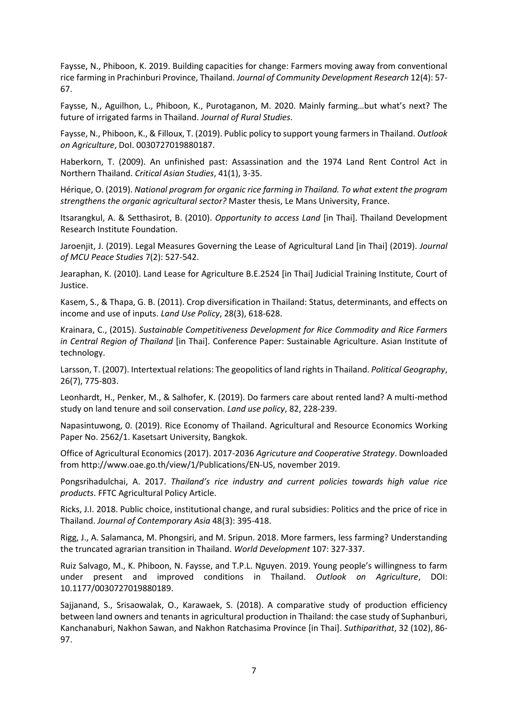Faysse, N., Phiboon, K. 2019. Building capacities for change: Farmers moving away from conventional rice farming in Prachinburi Province, Thailand. *Journal of Community Development Research* 12(4): 57- 67.

Faysse, N., Aguilhon, L., Phiboon, K., Purotaganon, M. 2020. Mainly farming…but what's next? The future of irrigated farms in Thailand. *Journal of Rural Studies*.

Faysse, N., Phiboon, K., & Filloux, T. (2019). Public policy to support young farmers in Thailand. *Outlook on Agriculture*, DoI. 0030727019880187.

Haberkorn, T. (2009). An unfinished past: Assassination and the 1974 Land Rent Control Act in Northern Thailand. *Critical Asian Studies*, 41(1), 3-35.

Hérique, O. (2019). *National program for organic rice farming in Thailand. To what extent the program strengthens the organic agricultural sector?* Master thesis, Le Mans University, France.

Itsarangkul, A. & Setthasirot, B. (2010). *Opportunity to access Land* [in Thai]. Thailand Development Research Institute Foundation.

Jaroenjit, J. (2019). Legal Measures Governing the Lease of Agricultural Land [in Thai] (2019). *Journal of MCU Peace Studies* 7(2): 527-542.

Jearaphan, K. (2010). Land Lease for Agriculture B.E.2524 [in Thai] Judicial Training Institute, Court of Justice.

Kasem, S., & Thapa, G. B. (2011). Crop diversification in Thailand: Status, determinants, and effects on income and use of inputs. *Land Use Policy*, 28(3), 618-628.

Krainara, C., (2015). *Sustainable Competitiveness Development for Rice Commodity and Rice Farmers in Central Region of Thailand* [in Thai]. Conference Paper: Sustainable Agriculture. Asian Institute of technology.

Larsson, T. (2007). Intertextual relations: The geopolitics of land rights in Thailand. *Political Geography*, 26(7), 775-803.

Leonhardt, H., Penker, M., & Salhofer, K. (2019). Do farmers care about rented land? A multi-method study on land tenure and soil conservation. *Land use policy*, 82, 228-239.

Napasintuwong, 0. (2019). Rice Economy of Thailand. Agricultural and Resource Economics Working Paper No. 2562/1. Kasetsart University, Bangkok.

Office of Agricultural Economics (2017). 2017-2036 *Agricuture and Cooperative Strategy*. Downloaded from http://www.oae.go.th/view/1/Publications/EN-US, november 2019.

Pongsrihadulchai, A. 2017. *Thailand's rice industry and current policies towards high value rice products*. FFTC Agricultural Policy Article.

Ricks, J.I. 2018. Public choice, institutional change, and rural subsidies: Politics and the price of rice in Thailand. *Journal of Contemporary Asia* 48(3): 395-418.

Rigg, J., A. Salamanca, M. Phongsiri, and M. Sripun. 2018. More farmers, less farming? Understanding the truncated agrarian transition in Thailand. *World Development* 107: 327-337.

Ruiz Salvago, M., K. Phiboon, N. Faysse, and T.P.L. Nguyen. 2019. Young people's willingness to farm under present and improved conditions in Thailand. *Outlook on Agriculture*, DOI: 10.1177/0030727019880189.

Sajjanand, S., Srisaowalak, O., Karawaek, S. (2018). A comparative study of production efficiency between land owners and tenants in agricultural production in Thailand: the case study of Suphanburi, Kanchanaburi, Nakhon Sawan, and Nakhon Ratchasima Province [in Thai]. *Suthiparithat*, 32 (102), 86- 97.